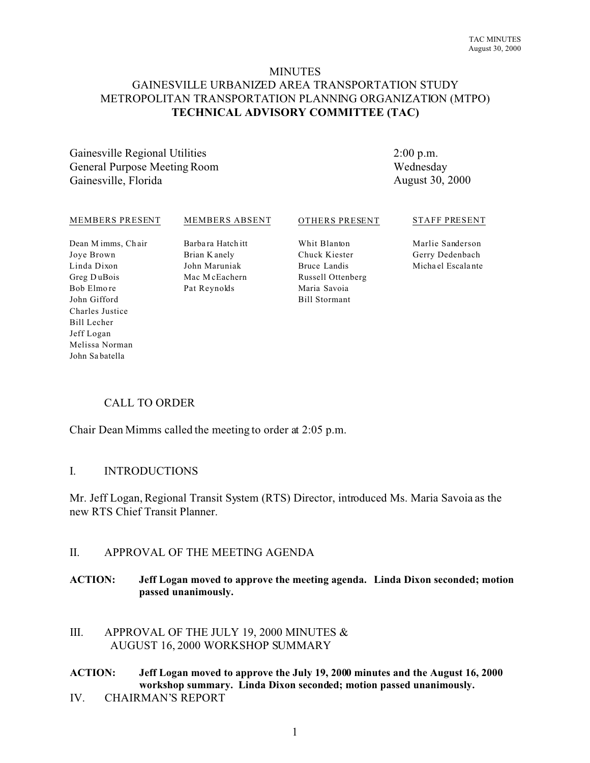### **MINUTES**

## GAINESVILLE URBANIZED AREA TRANSPORTATION STUDY METROPOLITAN TRANSPORTATION PLANNING ORGANIZATION (MTPO) **TECHNICAL ADVISORY COMMITTEE (TAC)**

Gainesville Regional Utilities General Purpose Meeting Room Gainesville, Florida

2:00 p.m. Wednesday August 30, 2000

#### MEMBERS PRESENT

#### MEMBERS ABSENT

#### OTHERS PRESENT

#### STAFF PRESENT

Dean M imms, Ch air Joye Brown Linda Dixon Greg D uBois Bob Elmo re John Gifford Charles Justice Bill Lecher Jeff Logan Melissa Norman John Sa batella

Barbara Hatch itt Brian K anely John Maruniak Mac M cEachern Pat Reynolds

Whit Blanton Chuck Kiester Bruce Landis Russell Ottenberg Maria Savoia Bill Stormant

Marlie Sanderson Gerry Dedenbach Micha el Escala nte

## CALL TO ORDER

Chair Dean Mimms called the meeting to order at 2:05 p.m.

### I. INTRODUCTIONS

Mr. Jeff Logan, Regional Transit System (RTS) Director, introduced Ms. Maria Savoia as the new RTS Chief Transit Planner.

### II. APPROVAL OF THE MEETING AGENDA

**ACTION: Jeff Logan moved to approve the meeting agenda. Linda Dixon seconded; motion passed unanimously.**

III. APPROVAL OF THE JULY 19, 2000 MINUTES & AUGUST 16, 2000 WORKSHOP SUMMARY

# **ACTION: Jeff Logan moved to approve the July 19, 2000 minutes and the August 16, 2000 workshop summary. Linda Dixon seconded; motion passed unanimously.**

IV. CHAIRMAN'S REPORT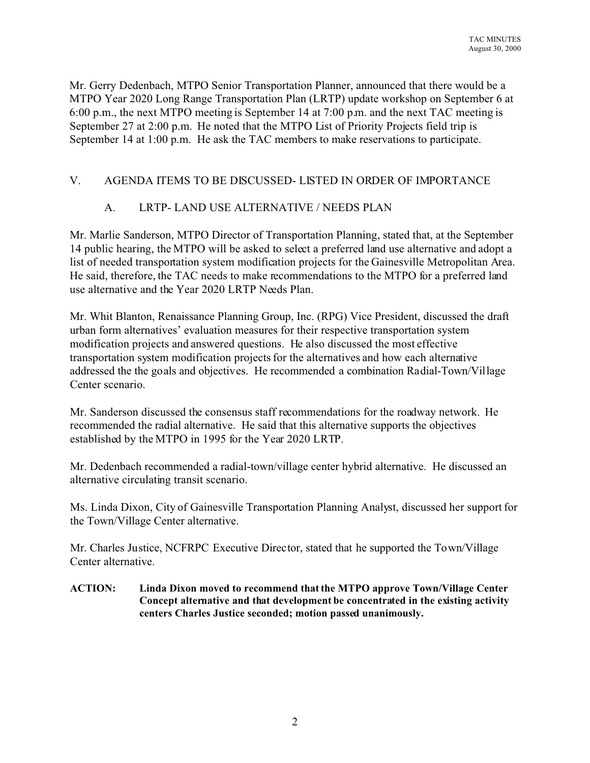Mr. Gerry Dedenbach, MTPO Senior Transportation Planner, announced that there would be a MTPO Year 2020 Long Range Transportation Plan (LRTP) update workshop on September 6 at 6:00 p.m., the next MTPO meeting is September 14 at 7:00 p.m. and the next TAC meeting is September 27 at 2:00 p.m. He noted that the MTPO List of Priority Projects field trip is September 14 at 1:00 p.m. He ask the TAC members to make reservations to participate.

## V. AGENDA ITEMS TO BE DISCUSSED- LISTED IN ORDER OF IMPORTANCE

## A. LRTP- LAND USE ALTERNATIVE / NEEDS PLAN

Mr. Marlie Sanderson, MTPO Director of Transportation Planning, stated that, at the September 14 public hearing, the MTPO will be asked to select a preferred land use alternative and adopt a list of needed transportation system modification projects for the Gainesville Metropolitan Area. He said, therefore, the TAC needs to make recommendations to the MTPO for a preferred land use alternative and the Year 2020 LRTP Needs Plan.

Mr. Whit Blanton, Renaissance Planning Group, Inc. (RPG) Vice President, discussed the draft urban form alternatives' evaluation measures for their respective transportation system modification projects and answered questions. He also discussed the most effective transportation system modification projects for the alternatives and how each alternative addressed the the goals and objectives. He recommended a combination Radial-Town/Village Center scenario.

Mr. Sanderson discussed the consensus staff recommendations for the roadway network. He recommended the radial alternative. He said that this alternative supports the objectives established by the MTPO in 1995 for the Year 2020 LRTP.

Mr. Dedenbach recommended a radial-town/village center hybrid alternative. He discussed an alternative circulating transit scenario.

Ms. Linda Dixon, City of Gainesville Transportation Planning Analyst, discussed her support for the Town/Village Center alternative.

Mr. Charles Justice, NCFRPC Executive Director, stated that he supported the Town/Village Center alternative.

**ACTION: Linda Dixon moved to recommend that the MTPO approve Town/Village Center Concept alternative and that development be concentrated in the existing activity centers Charles Justice seconded; motion passed unanimously.**